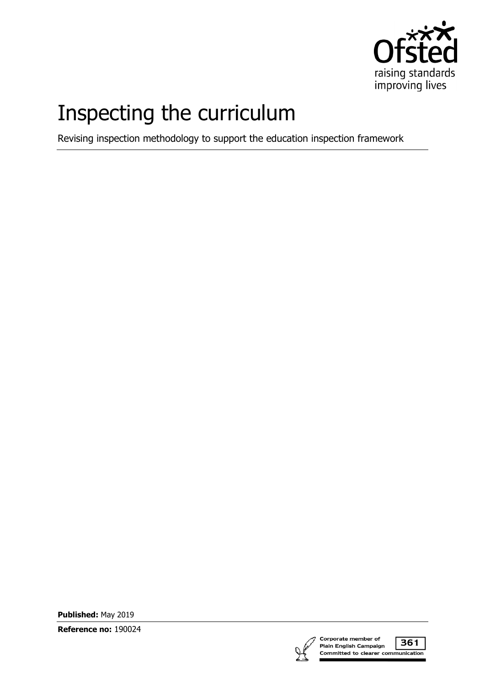

# Inspecting the curriculum

Revising inspection methodology to support the education inspection framework

**Published:** May 2019

**Reference no:** 190024



361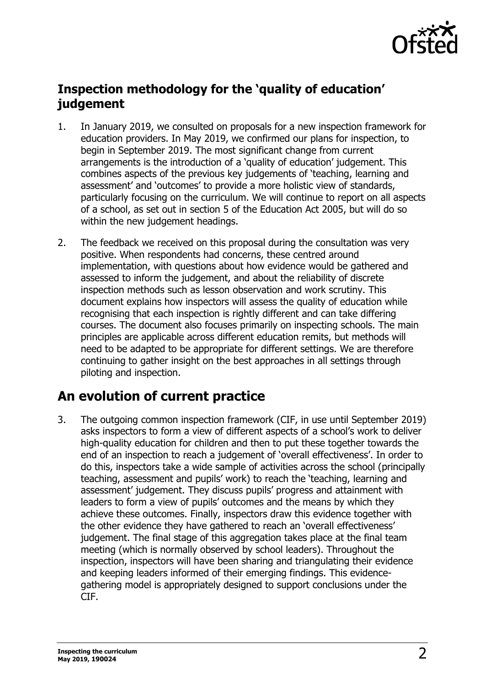

#### **Inspection methodology for the 'quality of education' judgement**

- 1. In January 2019, we consulted on proposals for a new inspection framework for education providers. In May 2019, we confirmed our plans for inspection, to begin in September 2019. The most significant change from current arrangements is the introduction of a 'quality of education' judgement. This combines aspects of the previous key judgements of 'teaching, learning and assessment' and 'outcomes' to provide a more holistic view of standards, particularly focusing on the curriculum. We will continue to report on all aspects of a school, as set out in section 5 of the Education Act 2005, but will do so within the new judgement headings.
- 2. The feedback we received on this proposal during the consultation was very positive. When respondents had concerns, these centred around implementation, with questions about how evidence would be gathered and assessed to inform the judgement, and about the reliability of discrete inspection methods such as lesson observation and work scrutiny. This document explains how inspectors will assess the quality of education while recognising that each inspection is rightly different and can take differing courses. The document also focuses primarily on inspecting schools. The main principles are applicable across different education remits, but methods will need to be adapted to be appropriate for different settings. We are therefore continuing to gather insight on the best approaches in all settings through piloting and inspection.

## **An evolution of current practice**

3. The outgoing common inspection framework (CIF, in use until September 2019) asks inspectors to form a view of different aspects of a school's work to deliver high-quality education for children and then to put these together towards the end of an inspection to reach a judgement of 'overall effectiveness'. In order to do this, inspectors take a wide sample of activities across the school (principally teaching, assessment and pupils' work) to reach the 'teaching, learning and assessment' judgement. They discuss pupils' progress and attainment with leaders to form a view of pupils' outcomes and the means by which they achieve these outcomes. Finally, inspectors draw this evidence together with the other evidence they have gathered to reach an 'overall effectiveness' judgement. The final stage of this aggregation takes place at the final team meeting (which is normally observed by school leaders). Throughout the inspection, inspectors will have been sharing and triangulating their evidence and keeping leaders informed of their emerging findings. This evidencegathering model is appropriately designed to support conclusions under the CIF.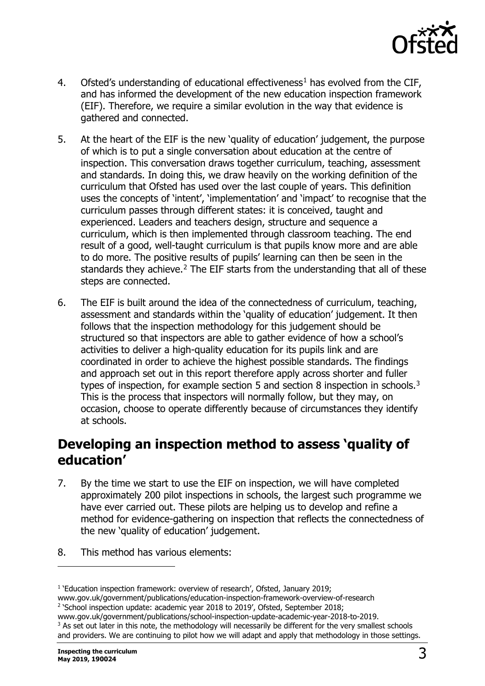

- 4. Ofsted's understanding of educational effectiveness<sup>[1](#page-2-0)</sup> has evolved from the CIF, and has informed the development of the new education inspection framework (EIF). Therefore, we require a similar evolution in the way that evidence is gathered and connected.
- 5. At the heart of the EIF is the new 'quality of education' judgement, the purpose of which is to put a single conversation about education at the centre of inspection. This conversation draws together curriculum, teaching, assessment and standards. In doing this, we draw heavily on the working definition of the curriculum that Ofsted has used over the last couple of years. This definition uses the concepts of 'intent', 'implementation' and 'impact' to recognise that the curriculum passes through different states: it is conceived, taught and experienced. Leaders and teachers design, structure and sequence a curriculum, which is then implemented through classroom teaching. The end result of a good, well-taught curriculum is that pupils know more and are able to do more. The positive results of pupils' learning can then be seen in the standards they achieve. $2$  The EIF starts from the understanding that all of these steps are connected.
- 6. The EIF is built around the idea of the connectedness of curriculum, teaching, assessment and standards within the 'quality of education' judgement. It then follows that the inspection methodology for this judgement should be structured so that inspectors are able to gather evidence of how a school's activities to deliver a high-quality education for its pupils link and are coordinated in order to achieve the highest possible standards. The findings and approach set out in this report therefore apply across shorter and fuller types of inspection, for example section 5 and section 8 inspection in schools.<sup>[3](#page-2-2)</sup> This is the process that inspectors will normally follow, but they may, on occasion, choose to operate differently because of circumstances they identify at schools.

#### **Developing an inspection method to assess 'quality of education'**

- 7. By the time we start to use the EIF on inspection, we will have completed approximately 200 pilot inspections in schools, the largest such programme we have ever carried out. These pilots are helping us to develop and refine a method for evidence-gathering on inspection that reflects the connectedness of the new 'quality of education' judgement.
- 8. This method has various elements:

<span id="page-2-0"></span><sup>&</sup>lt;sup>1</sup> 'Education inspection framework: overview of research', Ofsted, January 2019;

www.gov.uk/government/publications/education-inspection-framework-overview-of-research

<span id="page-2-1"></span><sup>&</sup>lt;sup>2</sup> 'School inspection update: academic year 2018 to 2019', Ofsted, September 2018; www.gov.uk/government/publications/school-inspection-update-academic-year-2018-to-2019.

<span id="page-2-2"></span><sup>&</sup>lt;sup>3</sup> As set out later in this note, the methodology will necessarily be different for the very smallest schools and providers. We are continuing to pilot how we will adapt and apply that methodology in those settings.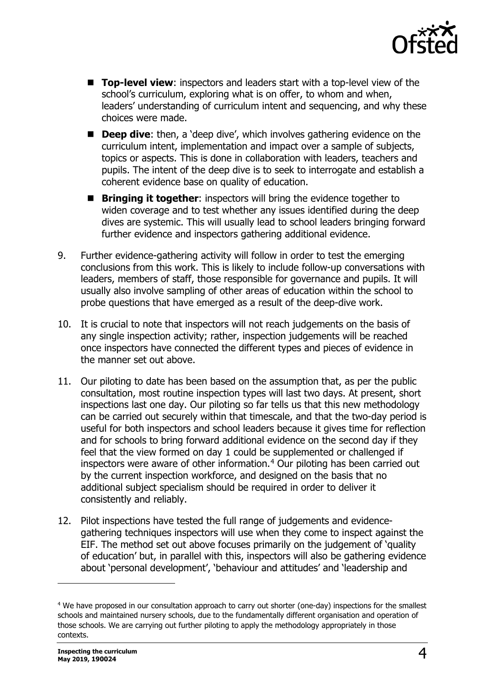

- **Top-level view:** inspectors and leaders start with a top-level view of the school's curriculum, exploring what is on offer, to whom and when, leaders' understanding of curriculum intent and sequencing, and why these choices were made.
- **Deep dive:** then, a 'deep dive', which involves gathering evidence on the curriculum intent, implementation and impact over a sample of subjects, topics or aspects. This is done in collaboration with leaders, teachers and pupils. The intent of the deep dive is to seek to interrogate and establish a coherent evidence base on quality of education.
- **Bringing it together:** inspectors will bring the evidence together to widen coverage and to test whether any issues identified during the deep dives are systemic. This will usually lead to school leaders bringing forward further evidence and inspectors gathering additional evidence.
- 9. Further evidence-gathering activity will follow in order to test the emerging conclusions from this work. This is likely to include follow-up conversations with leaders, members of staff, those responsible for governance and pupils. It will usually also involve sampling of other areas of education within the school to probe questions that have emerged as a result of the deep-dive work.
- 10. It is crucial to note that inspectors will not reach judgements on the basis of any single inspection activity; rather, inspection judgements will be reached once inspectors have connected the different types and pieces of evidence in the manner set out above.
- 11. Our piloting to date has been based on the assumption that, as per the public consultation, most routine inspection types will last two days. At present, short inspections last one day. Our piloting so far tells us that this new methodology can be carried out securely within that timescale, and that the two-day period is useful for both inspectors and school leaders because it gives time for reflection and for schools to bring forward additional evidence on the second day if they feel that the view formed on day 1 could be supplemented or challenged if inspectors were aware of other information. $4$  Our piloting has been carried out by the current inspection workforce, and designed on the basis that no additional subject specialism should be required in order to deliver it consistently and reliably.
- 12. Pilot inspections have tested the full range of judgements and evidencegathering techniques inspectors will use when they come to inspect against the EIF. The method set out above focuses primarily on the judgement of 'quality of education' but, in parallel with this, inspectors will also be gathering evidence about 'personal development', 'behaviour and attitudes' and 'leadership and

l

<span id="page-3-0"></span><sup>4</sup> We have proposed in our consultation approach to carry out shorter (one-day) inspections for the smallest schools and maintained nursery schools, due to the fundamentally different organisation and operation of those schools. We are carrying out further piloting to apply the methodology appropriately in those contexts.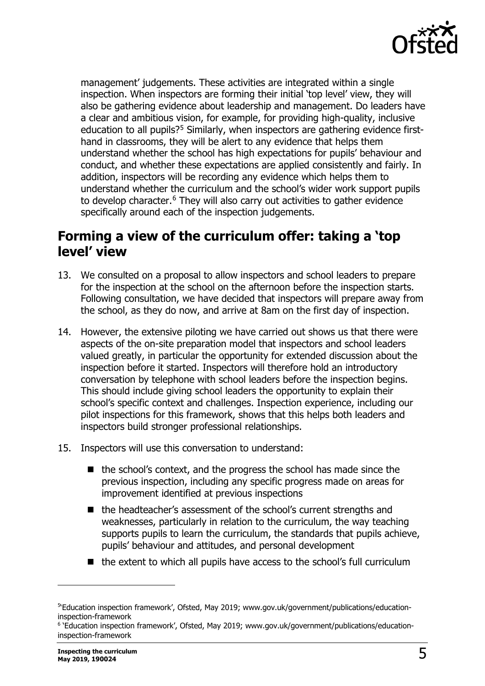

management' judgements. These activities are integrated within a single inspection. When inspectors are forming their initial 'top level' view, they will also be gathering evidence about leadership and management. Do leaders have a clear and ambitious vision, for example, for providing high-quality, inclusive education to all pupils?<sup>[5](#page-4-0)</sup> Similarly, when inspectors are gathering evidence firsthand in classrooms, they will be alert to any evidence that helps them understand whether the school has high expectations for pupils' behaviour and conduct, and whether these expectations are applied consistently and fairly. In addition, inspectors will be recording any evidence which helps them to understand whether the curriculum and the school's wider work support pupils to develop character. $6$  They will also carry out activities to gather evidence specifically around each of the inspection judgements.

#### **Forming a view of the curriculum offer: taking a 'top level' view**

- 13. We consulted on a proposal to allow inspectors and school leaders to prepare for the inspection at the school on the afternoon before the inspection starts. Following consultation, we have decided that inspectors will prepare away from the school, as they do now, and arrive at 8am on the first day of inspection.
- 14. However, the extensive piloting we have carried out shows us that there were aspects of the on-site preparation model that inspectors and school leaders valued greatly, in particular the opportunity for extended discussion about the inspection before it started. Inspectors will therefore hold an introductory conversation by telephone with school leaders before the inspection begins. This should include giving school leaders the opportunity to explain their school's specific context and challenges. Inspection experience, including our pilot inspections for this framework, shows that this helps both leaders and inspectors build stronger professional relationships.
- 15. Inspectors will use this conversation to understand:
	- the school's context, and the progress the school has made since the previous inspection, including any specific progress made on areas for improvement identified at previous inspections
	- the headteacher's assessment of the school's current strengths and weaknesses, particularly in relation to the curriculum, the way teaching supports pupils to learn the curriculum, the standards that pupils achieve, pupils' behaviour and attitudes, and personal development
	- the extent to which all pupils have access to the school's full curriculum

<span id="page-4-0"></span><sup>5</sup> 'Education inspection framework', Ofsted, May 2019; www.gov.uk/government/publications/educationinspection-framework

<span id="page-4-1"></span><sup>&</sup>lt;sup>6</sup> 'Education inspection framework', Ofsted, May 2019; www.gov.uk/government/publications/educationinspection-framework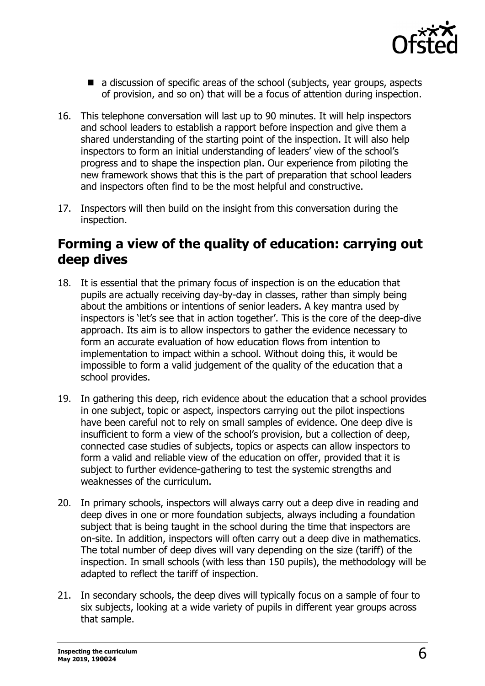

- a discussion of specific areas of the school (subjects, year groups, aspects of provision, and so on) that will be a focus of attention during inspection.
- 16. This telephone conversation will last up to 90 minutes. It will help inspectors and school leaders to establish a rapport before inspection and give them a shared understanding of the starting point of the inspection. It will also help inspectors to form an initial understanding of leaders' view of the school's progress and to shape the inspection plan. Our experience from piloting the new framework shows that this is the part of preparation that school leaders and inspectors often find to be the most helpful and constructive.
- 17. Inspectors will then build on the insight from this conversation during the inspection.

#### **Forming a view of the quality of education: carrying out deep dives**

- 18. It is essential that the primary focus of inspection is on the education that pupils are actually receiving day-by-day in classes, rather than simply being about the ambitions or intentions of senior leaders. A key mantra used by inspectors is 'let's see that in action together'. This is the core of the deep-dive approach. Its aim is to allow inspectors to gather the evidence necessary to form an accurate evaluation of how education flows from intention to implementation to impact within a school. Without doing this, it would be impossible to form a valid judgement of the quality of the education that a school provides.
- 19. In gathering this deep, rich evidence about the education that a school provides in one subject, topic or aspect, inspectors carrying out the pilot inspections have been careful not to rely on small samples of evidence. One deep dive is insufficient to form a view of the school's provision, but a collection of deep, connected case studies of subjects, topics or aspects can allow inspectors to form a valid and reliable view of the education on offer, provided that it is subject to further evidence-gathering to test the systemic strengths and weaknesses of the curriculum.
- 20. In primary schools, inspectors will always carry out a deep dive in reading and deep dives in one or more foundation subjects, always including a foundation subject that is being taught in the school during the time that inspectors are on-site. In addition, inspectors will often carry out a deep dive in mathematics. The total number of deep dives will vary depending on the size (tariff) of the inspection. In small schools (with less than 150 pupils), the methodology will be adapted to reflect the tariff of inspection.
- 21. In secondary schools, the deep dives will typically focus on a sample of four to six subjects, looking at a wide variety of pupils in different year groups across that sample.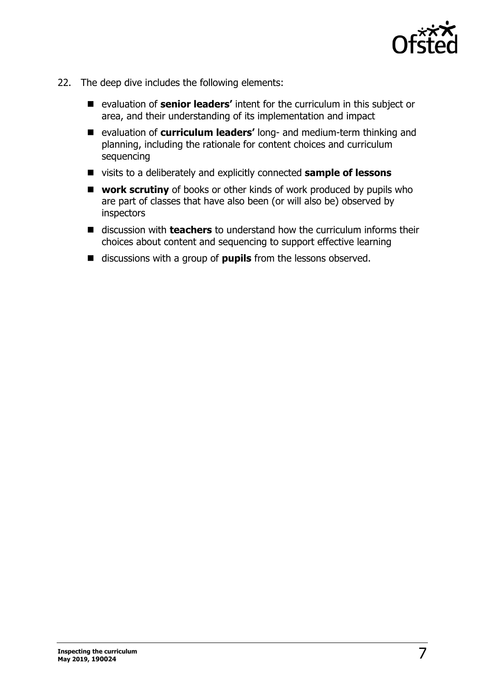

- 22. The deep dive includes the following elements:
	- evaluation of **senior leaders'** intent for the curriculum in this subject or area, and their understanding of its implementation and impact
	- evaluation of **curriculum leaders'** long- and medium-term thinking and planning, including the rationale for content choices and curriculum sequencing
	- visits to a deliberately and explicitly connected **sample of lessons**
	- **work scrutiny** of books or other kinds of work produced by pupils who are part of classes that have also been (or will also be) observed by inspectors
	- discussion with **teachers** to understand how the curriculum informs their choices about content and sequencing to support effective learning
	- discussions with a group of **pupils** from the lessons observed.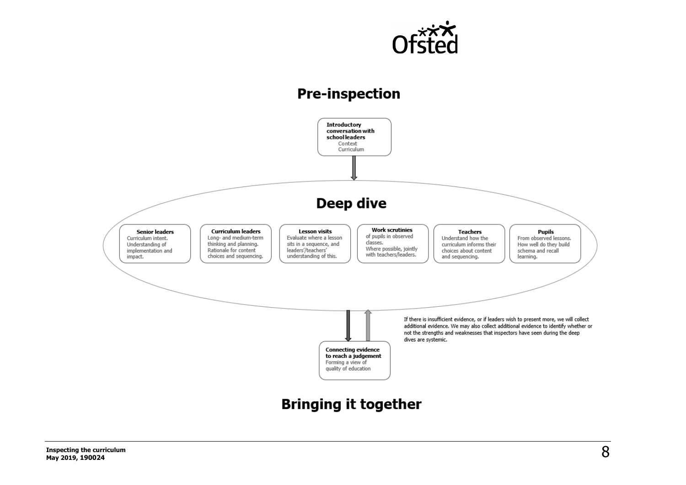

## **Pre-inspection**

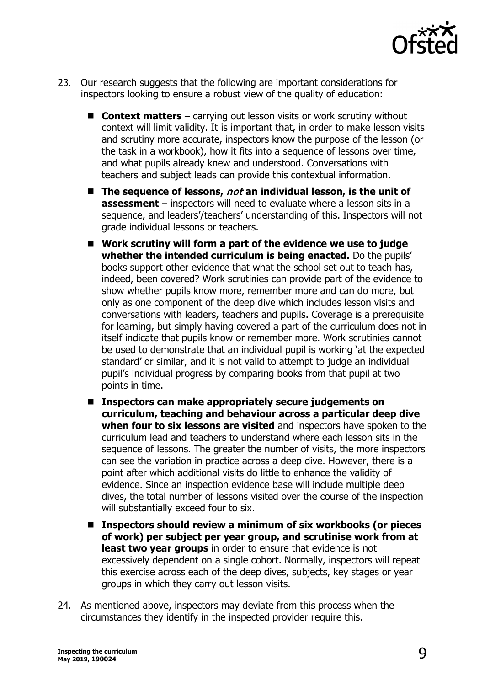

- 23. Our research suggests that the following are important considerations for inspectors looking to ensure a robust view of the quality of education:
	- **Context matters** carrying out lesson visits or work scrutiny without context will limit validity. It is important that, in order to make lesson visits and scrutiny more accurate, inspectors know the purpose of the lesson (or the task in a workbook), how it fits into a sequence of lessons over time, and what pupils already knew and understood. Conversations with teachers and subject leads can provide this contextual information.
	- The sequence of lessons, *not* an individual lesson, is the unit of **assessment** – inspectors will need to evaluate where a lesson sits in a sequence, and leaders'/teachers' understanding of this. Inspectors will not grade individual lessons or teachers.
	- **Work scrutiny will form a part of the evidence we use to judge whether the intended curriculum is being enacted.** Do the pupils' books support other evidence that what the school set out to teach has, indeed, been covered? Work scrutinies can provide part of the evidence to show whether pupils know more, remember more and can do more, but only as one component of the deep dive which includes lesson visits and conversations with leaders, teachers and pupils. Coverage is a prerequisite for learning, but simply having covered a part of the curriculum does not in itself indicate that pupils know or remember more. Work scrutinies cannot be used to demonstrate that an individual pupil is working 'at the expected standard' or similar, and it is not valid to attempt to judge an individual pupil's individual progress by comparing books from that pupil at two points in time.
	- Inspectors can make appropriately secure judgements on **curriculum, teaching and behaviour across a particular deep dive when four to six lessons are visited** and inspectors have spoken to the curriculum lead and teachers to understand where each lesson sits in the sequence of lessons. The greater the number of visits, the more inspectors can see the variation in practice across a deep dive. However, there is a point after which additional visits do little to enhance the validity of evidence. Since an inspection evidence base will include multiple deep dives, the total number of lessons visited over the course of the inspection will substantially exceed four to six.
	- Inspectors should review a minimum of six workbooks (or pieces **of work) per subject per year group, and scrutinise work from at least two year groups** in order to ensure that evidence is not excessively dependent on a single cohort. Normally, inspectors will repeat this exercise across each of the deep dives, subjects, key stages or year groups in which they carry out lesson visits.
- 24. As mentioned above, inspectors may deviate from this process when the circumstances they identify in the inspected provider require this.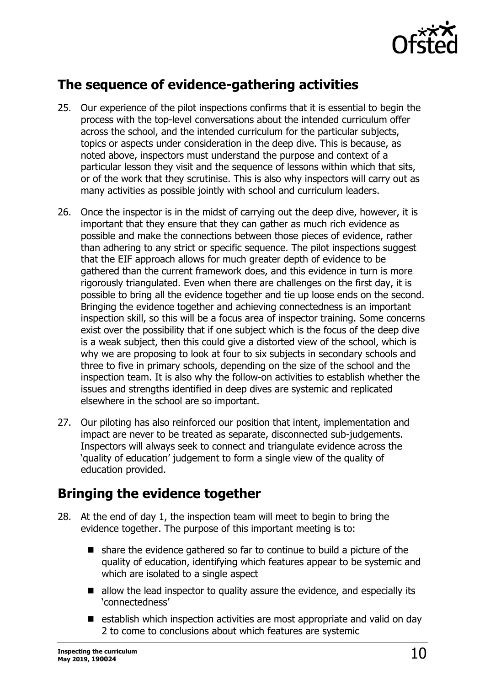

#### **The sequence of evidence-gathering activities**

- 25. Our experience of the pilot inspections confirms that it is essential to begin the process with the top-level conversations about the intended curriculum offer across the school, and the intended curriculum for the particular subjects, topics or aspects under consideration in the deep dive. This is because, as noted above, inspectors must understand the purpose and context of a particular lesson they visit and the sequence of lessons within which that sits, or of the work that they scrutinise. This is also why inspectors will carry out as many activities as possible jointly with school and curriculum leaders.
- 26. Once the inspector is in the midst of carrying out the deep dive, however, it is important that they ensure that they can gather as much rich evidence as possible and make the connections between those pieces of evidence, rather than adhering to any strict or specific sequence. The pilot inspections suggest that the EIF approach allows for much greater depth of evidence to be gathered than the current framework does, and this evidence in turn is more rigorously triangulated. Even when there are challenges on the first day, it is possible to bring all the evidence together and tie up loose ends on the second. Bringing the evidence together and achieving connectedness is an important inspection skill, so this will be a focus area of inspector training. Some concerns exist over the possibility that if one subject which is the focus of the deep dive is a weak subject, then this could give a distorted view of the school, which is why we are proposing to look at four to six subjects in secondary schools and three to five in primary schools, depending on the size of the school and the inspection team. It is also why the follow-on activities to establish whether the issues and strengths identified in deep dives are systemic and replicated elsewhere in the school are so important.
- 27. Our piloting has also reinforced our position that intent, implementation and impact are never to be treated as separate, disconnected sub-judgements. Inspectors will always seek to connect and triangulate evidence across the 'quality of education' judgement to form a single view of the quality of education provided.

## **Bringing the evidence together**

- 28. At the end of day 1, the inspection team will meet to begin to bring the evidence together. The purpose of this important meeting is to:
	- share the evidence gathered so far to continue to build a picture of the quality of education, identifying which features appear to be systemic and which are isolated to a single aspect
	- allow the lead inspector to quality assure the evidence, and especially its 'connectedness'
	- establish which inspection activities are most appropriate and valid on day 2 to come to conclusions about which features are systemic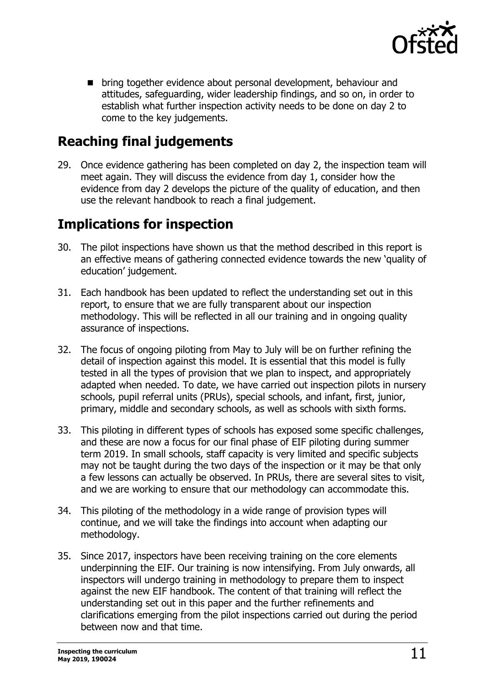

**Demoglem** bring together evidence about personal development, behaviour and attitudes, safeguarding, wider leadership findings, and so on, in order to establish what further inspection activity needs to be done on day 2 to come to the key judgements.

## **Reaching final judgements**

29. Once evidence gathering has been completed on day 2, the inspection team will meet again. They will discuss the evidence from day 1, consider how the evidence from day 2 develops the picture of the quality of education, and then use the relevant handbook to reach a final judgement.

## **Implications for inspection**

- 30. The pilot inspections have shown us that the method described in this report is an effective means of gathering connected evidence towards the new 'quality of education' judgement.
- 31. Each handbook has been updated to reflect the understanding set out in this report, to ensure that we are fully transparent about our inspection methodology. This will be reflected in all our training and in ongoing quality assurance of inspections.
- 32. The focus of ongoing piloting from May to July will be on further refining the detail of inspection against this model. It is essential that this model is fully tested in all the types of provision that we plan to inspect, and appropriately adapted when needed. To date, we have carried out inspection pilots in nursery schools, pupil referral units (PRUs), special schools, and infant, first, junior, primary, middle and secondary schools, as well as schools with sixth forms.
- 33. This piloting in different types of schools has exposed some specific challenges, and these are now a focus for our final phase of EIF piloting during summer term 2019. In small schools, staff capacity is very limited and specific subjects may not be taught during the two days of the inspection or it may be that only a few lessons can actually be observed. In PRUs, there are several sites to visit, and we are working to ensure that our methodology can accommodate this.
- 34. This piloting of the methodology in a wide range of provision types will continue, and we will take the findings into account when adapting our methodology.
- 35. Since 2017, inspectors have been receiving training on the core elements underpinning the EIF. Our training is now intensifying. From July onwards, all inspectors will undergo training in methodology to prepare them to inspect against the new EIF handbook. The content of that training will reflect the understanding set out in this paper and the further refinements and clarifications emerging from the pilot inspections carried out during the period between now and that time.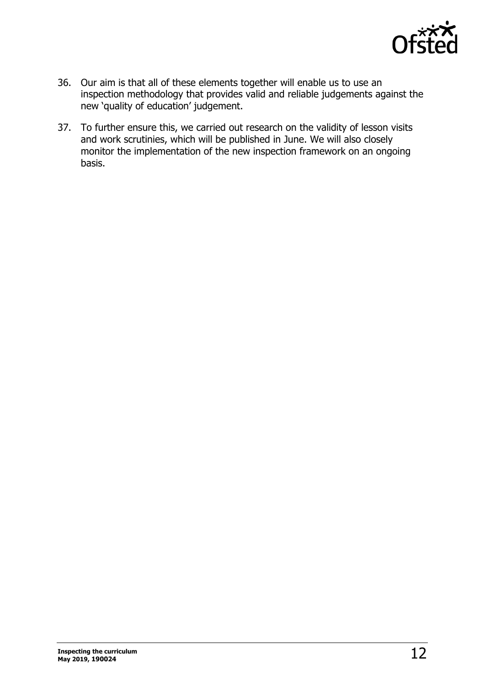

- 36. Our aim is that all of these elements together will enable us to use an inspection methodology that provides valid and reliable judgements against the new 'quality of education' judgement.
- 37. To further ensure this, we carried out research on the validity of lesson visits and work scrutinies, which will be published in June. We will also closely monitor the implementation of the new inspection framework on an ongoing basis.